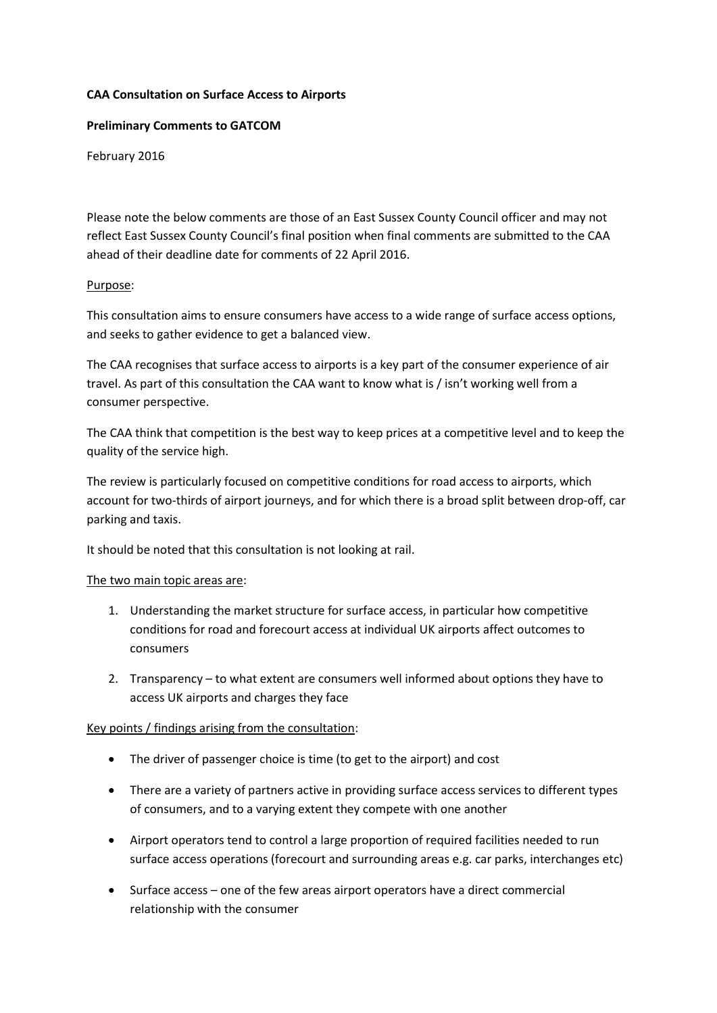## **CAA Consultation on Surface Access to Airports**

## **Preliminary Comments to GATCOM**

February 2016

Please note the below comments are those of an East Sussex County Council officer and may not reflect East Sussex County Council's final position when final comments are submitted to the CAA ahead of their deadline date for comments of 22 April 2016.

## Purpose:

This consultation aims to ensure consumers have access to a wide range of surface access options, and seeks to gather evidence to get a balanced view.

The CAA recognises that surface access to airports is a key part of the consumer experience of air travel. As part of this consultation the CAA want to know what is / isn't working well from a consumer perspective.

The CAA think that competition is the best way to keep prices at a competitive level and to keep the quality of the service high.

The review is particularly focused on competitive conditions for road access to airports, which account for two-thirds of airport journeys, and for which there is a broad split between drop-off, car parking and taxis.

It should be noted that this consultation is not looking at rail.

## The two main topic areas are:

- 1. Understanding the market structure for surface access, in particular how competitive conditions for road and forecourt access at individual UK airports affect outcomes to consumers
- 2. Transparency to what extent are consumers well informed about options they have to access UK airports and charges they face

## Key points / findings arising from the consultation:

- The driver of passenger choice is time (to get to the airport) and cost
- There are a variety of partners active in providing surface access services to different types of consumers, and to a varying extent they compete with one another
- Airport operators tend to control a large proportion of required facilities needed to run surface access operations (forecourt and surrounding areas e.g. car parks, interchanges etc)
- Surface access one of the few areas airport operators have a direct commercial relationship with the consumer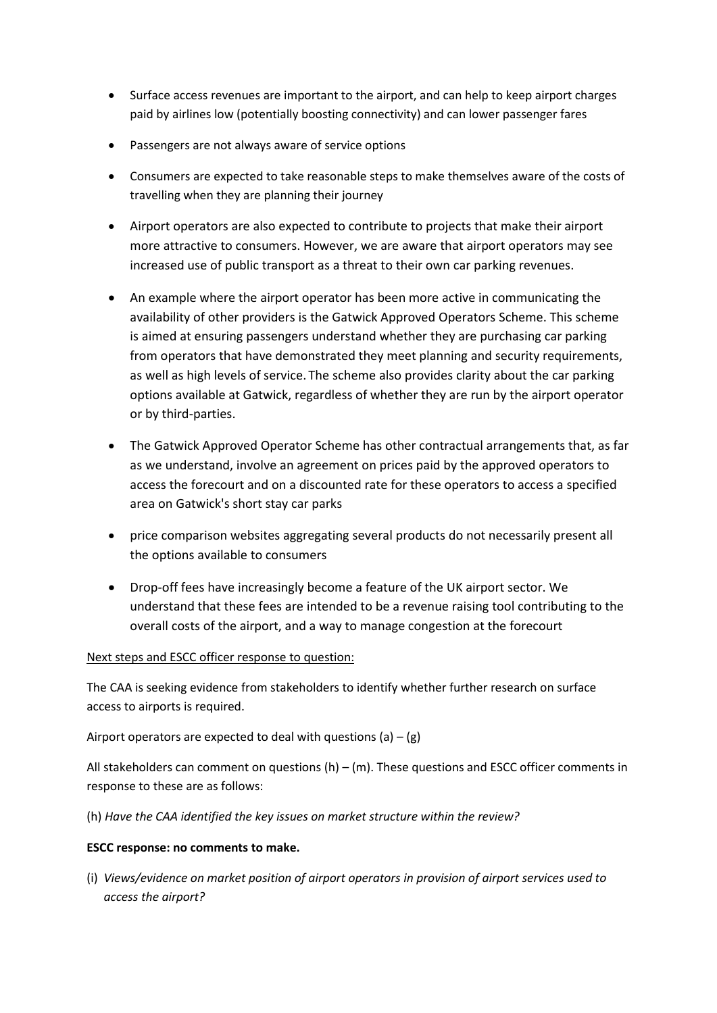- Surface access revenues are important to the airport, and can help to keep airport charges paid by airlines low (potentially boosting connectivity) and can lower passenger fares
- Passengers are not always aware of service options
- Consumers are expected to take reasonable steps to make themselves aware of the costs of travelling when they are planning their journey
- Airport operators are also expected to contribute to projects that make their airport more attractive to consumers. However, we are aware that airport operators may see increased use of public transport as a threat to their own car parking revenues.
- An example where the airport operator has been more active in communicating the availability of other providers is the Gatwick Approved Operators Scheme. This scheme is aimed at ensuring passengers understand whether they are purchasing car parking from operators that have demonstrated they meet planning and security requirements, as well as high levels of service. The scheme also provides clarity about the car parking options available at Gatwick, regardless of whether they are run by the airport operator or by third-parties.
- The Gatwick Approved Operator Scheme has other contractual arrangements that, as far as we understand, involve an agreement on prices paid by the approved operators to access the forecourt and on a discounted rate for these operators to access a specified area on Gatwick's short stay car parks
- price comparison websites aggregating several products do not necessarily present all the options available to consumers
- Drop-off fees have increasingly become a feature of the UK airport sector. We understand that these fees are intended to be a revenue raising tool contributing to the overall costs of the airport, and a way to manage congestion at the forecourt

# Next steps and ESCC officer response to question:

The CAA is seeking evidence from stakeholders to identify whether further research on surface access to airports is required.

Airport operators are expected to deal with questions (a)  $-$  (g)

All stakeholders can comment on questions  $(h) - (m)$ . These questions and ESCC officer comments in response to these are as follows:

(h) *Have the CAA identified the key issues on market structure within the review?*

# **ESCC response: no comments to make.**

(i) *Views/evidence on market position of airport operators in provision of airport services used to access the airport?*